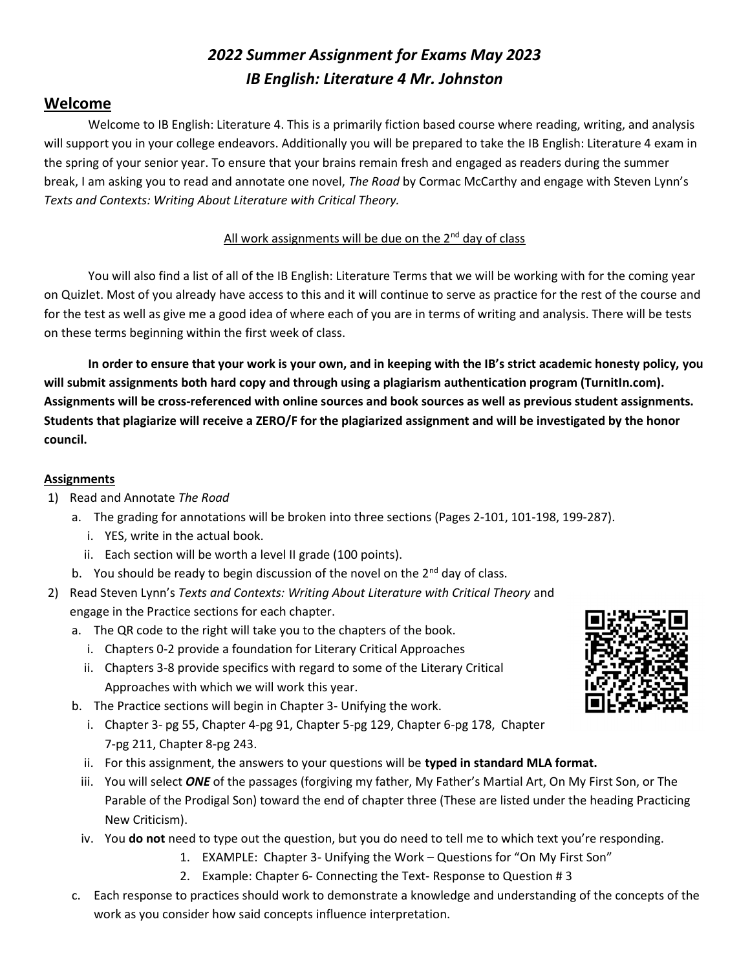# 2022 Summer Assignment for Exams May 2023 IB English: Literature 4 Mr. Johnston

## Welcome

Welcome to IB English: Literature 4. This is a primarily fiction based course where reading, writing, and analysis will support you in your college endeavors. Additionally you will be prepared to take the IB English: Literature 4 exam in the spring of your senior year. To ensure that your brains remain fresh and engaged as readers during the summer break, I am asking you to read and annotate one novel, The Road by Cormac McCarthy and engage with Steven Lynn's Texts and Contexts: Writing About Literature with Critical Theory.

#### All work assignments will be due on the  $2^{nd}$  day of class

You will also find a list of all of the IB English: Literature Terms that we will be working with for the coming year on Quizlet. Most of you already have access to this and it will continue to serve as practice for the rest of the course and for the test as well as give me a good idea of where each of you are in terms of writing and analysis. There will be tests on these terms beginning within the first week of class.

In order to ensure that your work is your own, and in keeping with the IB's strict academic honesty policy, you will submit assignments both hard copy and through using a plagiarism authentication program (TurnitIn.com). Assignments will be cross-referenced with online sources and book sources as well as previous student assignments. Students that plagiarize will receive a ZERO/F for the plagiarized assignment and will be investigated by the honor council.

#### Assignments

- 1) Read and Annotate The Road
	- a. The grading for annotations will be broken into three sections (Pages 2-101, 101-198, 199-287).
		- i. YES, write in the actual book.
		- ii. Each section will be worth a level II grade (100 points).
	- b. You should be ready to begin discussion of the novel on the  $2^{nd}$  day of class.
- 2) Read Steven Lynn's Texts and Contexts: Writing About Literature with Critical Theory and engage in the Practice sections for each chapter.
	- a. The QR code to the right will take you to the chapters of the book.
		- i. Chapters 0-2 provide a foundation for Literary Critical Approaches
		- ii. Chapters 3-8 provide specifics with regard to some of the Literary Critical Approaches with which we will work this year.
	- b. The Practice sections will begin in Chapter 3- Unifying the work.
		- i. Chapter 3- pg 55, Chapter 4-pg 91, Chapter 5-pg 129, Chapter 6-pg 178, Chapter 7-pg 211, Chapter 8-pg 243.
		- ii. For this assignment, the answers to your questions will be typed in standard MLA format.
		- iii. You will select ONE of the passages (forgiving my father, My Father's Martial Art, On My First Son, or The Parable of the Prodigal Son) toward the end of chapter three (These are listed under the heading Practicing New Criticism).
	- iv. You do not need to type out the question, but you do need to tell me to which text you're responding.
		- 1. EXAMPLE: Chapter 3- Unifying the Work Questions for "On My First Son"
		- 2. Example: Chapter 6- Connecting the Text- Response to Question # 3
	- c. Each response to practices should work to demonstrate a knowledge and understanding of the concepts of the work as you consider how said concepts influence interpretation.